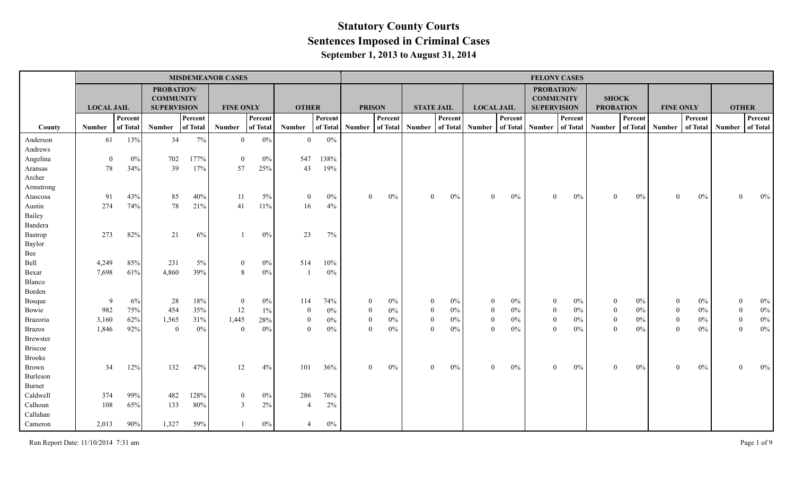|                |                   |          |                                                             |          | <b>MISDEMEANOR CASES</b> |          |                |          |                |               |                   |         |                   |         |                                                             | <b>FELONY CASES</b> |                                  |          |                  |          |                 |         |
|----------------|-------------------|----------|-------------------------------------------------------------|----------|--------------------------|----------|----------------|----------|----------------|---------------|-------------------|---------|-------------------|---------|-------------------------------------------------------------|---------------------|----------------------------------|----------|------------------|----------|-----------------|---------|
|                | <b>LOCAL JAIL</b> |          | <b>PROBATION/</b><br><b>COMMUNITY</b><br><b>SUPERVISION</b> |          | <b>FINE ONLY</b>         |          | <b>OTHER</b>   |          |                | <b>PRISON</b> | <b>STATE JAIL</b> |         | <b>LOCAL JAIL</b> |         | <b>PROBATION/</b><br><b>COMMUNITY</b><br><b>SUPERVISION</b> |                     | <b>SHOCK</b><br><b>PROBATION</b> |          | <b>FINE ONLY</b> |          | <b>OTHER</b>    |         |
|                |                   | Percent  |                                                             | Percent  |                          | Percent  |                | Percent  |                | Percent       |                   | Percent |                   | Percent |                                                             | Percent             |                                  | Percent  |                  | Percent  |                 | Percent |
| County         | <b>Number</b>     | of Total | <b>Number</b>                                               | of Total | <b>Number</b>            | of Total | <b>Number</b>  | of Total | <b>Number</b>  | of Total      | Number   of Total |         | Number            |         | of Total   Number   of Total                                |                     | <b>Number</b>                    | of Total | <b>Number</b>    | of Total | Number of Total |         |
| Anderson       | 61                | 13%      | 34                                                          | 7%       | $\overline{0}$           | $0\%$    | $\theta$       | $0\%$    |                |               |                   |         |                   |         |                                                             |                     |                                  |          |                  |          |                 |         |
| Andrews        |                   |          |                                                             |          |                          |          |                |          |                |               |                   |         |                   |         |                                                             |                     |                                  |          |                  |          |                 |         |
| Angelina       | $\bf{0}$          | $0\%$    | 702                                                         | 177%     | $\overline{0}$           | $0\%$    | 547            | 138%     |                |               |                   |         |                   |         |                                                             |                     |                                  |          |                  |          |                 |         |
| Aransas        | 78                | 34%      | 39                                                          | 17%      | 57                       | 25%      | 43             | 19%      |                |               |                   |         |                   |         |                                                             |                     |                                  |          |                  |          |                 |         |
| Archer         |                   |          |                                                             |          |                          |          |                |          |                |               |                   |         |                   |         |                                                             |                     |                                  |          |                  |          |                 |         |
| Armstrong      |                   |          |                                                             |          |                          |          |                |          |                |               |                   |         |                   |         |                                                             |                     |                                  |          |                  |          |                 |         |
| Atascosa       | 91                | 43%      | 85                                                          | 40%      | 11                       | 5%       | $\bf{0}$       | $0\%$    | $\overline{0}$ | $0\%$         | $\mathbf{0}$      | $0\%$   | $\overline{0}$    | $0\%$   | $\overline{0}$                                              | $0\%$               | $\mathbf{0}$                     | $0\%$    | $\overline{0}$   | $0\%$    |                 | $0\%$   |
| Austin         | 274               | 74%      | 78                                                          | 21%      | 41                       | 11%      | 16             | 4%       |                |               |                   |         |                   |         |                                                             |                     |                                  |          |                  |          |                 |         |
| Bailey         |                   |          |                                                             |          |                          |          |                |          |                |               |                   |         |                   |         |                                                             |                     |                                  |          |                  |          |                 |         |
| Bandera        |                   |          |                                                             |          |                          |          |                |          |                |               |                   |         |                   |         |                                                             |                     |                                  |          |                  |          |                 |         |
| Bastrop        | 273               | 82%      | 21                                                          | 6%       |                          | $0\%$    | 23             | 7%       |                |               |                   |         |                   |         |                                                             |                     |                                  |          |                  |          |                 |         |
| Baylor         |                   |          |                                                             |          |                          |          |                |          |                |               |                   |         |                   |         |                                                             |                     |                                  |          |                  |          |                 |         |
| Bee            |                   |          |                                                             |          |                          |          |                |          |                |               |                   |         |                   |         |                                                             |                     |                                  |          |                  |          |                 |         |
| Bell           | 4,249             | 85%      | 231                                                         | 5%       | $\theta$                 | $0\%$    | 514            | $10\%$   |                |               |                   |         |                   |         |                                                             |                     |                                  |          |                  |          |                 |         |
| Bexar          | 7,698             | 61%      | 4,860                                                       | 39%      | 8                        | $0\%$    | $\overline{1}$ | $0\%$    |                |               |                   |         |                   |         |                                                             |                     |                                  |          |                  |          |                 |         |
| Blanco         |                   |          |                                                             |          |                          |          |                |          |                |               |                   |         |                   |         |                                                             |                     |                                  |          |                  |          |                 |         |
| Borden         |                   |          |                                                             |          |                          |          |                |          |                |               |                   |         |                   |         |                                                             |                     |                                  |          |                  |          |                 |         |
| Bosque         | 9                 | 6%       | 28                                                          | 18%      | $\mathbf{0}$             | $0\%$    | 114            | 74%      | $\mathbf{0}$   | $0\%$         | $\overline{0}$    | $0\%$   | $\overline{0}$    | $0\%$   | $\overline{0}$                                              | $0\%$               | $\mathbf{0}$                     | $0\%$    | $\theta$         | $0\%$    | $\Omega$        | $0\%$   |
| Bowie          | 982               | 75%      | 454                                                         | 35%      | 12                       | $1\%$    | $\bf{0}$       | $0\%$    | $\mathbf{0}$   | $0\%$         | $\overline{0}$    | $0\%$   | $\overline{0}$    | $0\%$   | $\overline{0}$                                              | $0\%$               | $\overline{0}$                   | $0\%$    | $\theta$         | $0\%$    | $\Omega$        | $0\%$   |
| Brazoria       | 3,160             | 62%      | 1,565                                                       | 31%      | 1,445                    | 28%      | $\bf{0}$       | $0\%$    | $\bf{0}$       | $0\%$         | $\overline{0}$    | $0\%$   | $\overline{0}$    | $0\%$   | $\overline{0}$                                              | $0\%$               | $\theta$                         | $0\%$    | $\overline{0}$   | $0\%$    | $\theta$        | $0\%$   |
| <b>Brazos</b>  | 1,846             | 92%      | $\overline{0}$                                              | $0\%$    | $\bf{0}$                 | $0\%$    | $\mathbf{0}$   | $0\%$    | $\theta$       | $0\%$         | $\overline{0}$    | $0\%$   | $\overline{0}$    | $0\%$   | $\theta$                                                    | $0\%$               | $\theta$                         | $0\%$    | $\Omega$         | $0\%$    | $\Omega$        | $0\%$   |
| Brewster       |                   |          |                                                             |          |                          |          |                |          |                |               |                   |         |                   |         |                                                             |                     |                                  |          |                  |          |                 |         |
| <b>Briscoe</b> |                   |          |                                                             |          |                          |          |                |          |                |               |                   |         |                   |         |                                                             |                     |                                  |          |                  |          |                 |         |
| <b>Brooks</b>  |                   |          |                                                             |          |                          |          |                |          |                |               |                   |         |                   |         |                                                             |                     |                                  |          |                  |          |                 |         |
| <b>Brown</b>   | 34                | 12%      | 132                                                         | 47%      | 12                       | 4%       | 101            | 36%      | $\theta$       | $0\%$         | $\Omega$          | $0\%$   | $\theta$          | $0\%$   | $\mathbf{0}$                                                | $0\%$               | $\theta$                         | $0\%$    | $\Omega$         | $0\%$    |                 | $0\%$   |
| Burleson       |                   |          |                                                             |          |                          |          |                |          |                |               |                   |         |                   |         |                                                             |                     |                                  |          |                  |          |                 |         |
| Burnet         |                   |          |                                                             |          |                          |          |                |          |                |               |                   |         |                   |         |                                                             |                     |                                  |          |                  |          |                 |         |
| Caldwell       | 374               | 99%      | 482                                                         | 128%     | $\theta$                 | $0\%$    | 286            | 76%      |                |               |                   |         |                   |         |                                                             |                     |                                  |          |                  |          |                 |         |
| Calhoun        | 108               | 65%      | 133                                                         | 80%      | 3                        | 2%       | $\overline{4}$ | $2\%$    |                |               |                   |         |                   |         |                                                             |                     |                                  |          |                  |          |                 |         |
| Callahan       |                   |          |                                                             |          |                          |          |                |          |                |               |                   |         |                   |         |                                                             |                     |                                  |          |                  |          |                 |         |
| Cameron        | 2,013             | 90%      | 1,327                                                       | 59%      |                          | $0\%$    | 4              | $0\%$    |                |               |                   |         |                   |         |                                                             |                     |                                  |          |                  |          |                 |         |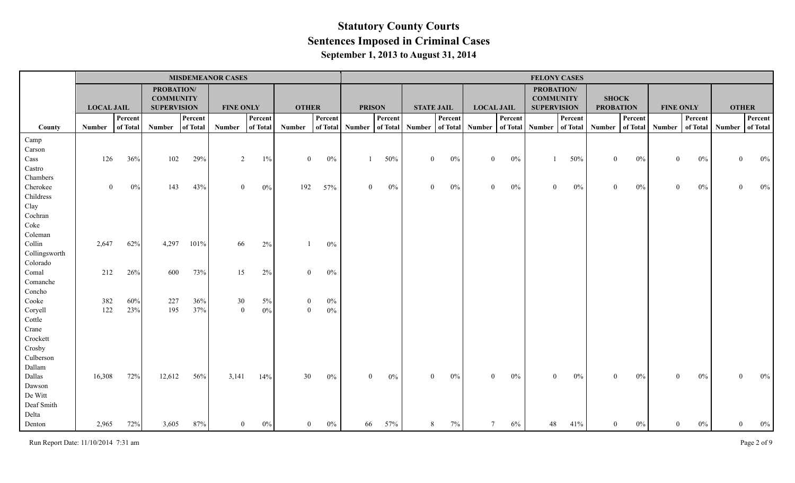|               |                   |          |                                                             |          | <b>MISDEMEANOR CASES</b> |          |                |         |                   |         |                   |         |                                       |         |                                                             | <b>FELONY CASES</b> |                                       |         |                   |          |                 |         |
|---------------|-------------------|----------|-------------------------------------------------------------|----------|--------------------------|----------|----------------|---------|-------------------|---------|-------------------|---------|---------------------------------------|---------|-------------------------------------------------------------|---------------------|---------------------------------------|---------|-------------------|----------|-----------------|---------|
|               | <b>LOCAL JAIL</b> |          | <b>PROBATION/</b><br><b>COMMUNITY</b><br><b>SUPERVISION</b> |          | <b>FINE ONLY</b>         |          | <b>OTHER</b>   |         | <b>PRISON</b>     |         | <b>STATE JAIL</b> |         | <b>LOCAL JAIL</b>                     |         | <b>PROBATION/</b><br><b>COMMUNITY</b><br><b>SUPERVISION</b> |                     | <b>SHOCK</b><br><b>PROBATION</b>      |         | <b>FINE ONLY</b>  |          | <b>OTHER</b>    |         |
|               |                   | Percent  |                                                             | Percent  |                          | Percent  |                | Percent |                   | Percent |                   | Percent |                                       | Percent |                                                             | Percent             |                                       | Percent |                   | Percent  |                 | Percent |
| County        | <b>Number</b>     | of Total | <b>Number</b>                                               | of Total | <b>Number</b>            | of Total | Number         |         | of Total   Number |         |                   |         | of Total   Number   of Total   Number |         |                                                             |                     | of Total   Number   of Total   Number |         | of Total   Number | of Total | Number of Total |         |
| Camp          |                   |          |                                                             |          |                          |          |                |         |                   |         |                   |         |                                       |         |                                                             |                     |                                       |         |                   |          |                 |         |
| Carson        |                   |          |                                                             |          |                          |          |                |         |                   |         |                   |         |                                       |         |                                                             |                     |                                       |         |                   |          |                 |         |
| Cass          | 126               | 36%      | 102                                                         | 29%      | 2                        | $1\%$    | $\overline{0}$ | $0\%$   | $\mathbf{1}$      | 50%     | $\overline{0}$    | $0\%$   | $\overline{0}$                        | $0\%$   |                                                             | 50%                 | $\mathbf{0}$                          | $0\%$   | $\overline{0}$    | $0\%$    |                 | $0\%$   |
| Castro        |                   |          |                                                             |          |                          |          |                |         |                   |         |                   |         |                                       |         |                                                             |                     |                                       |         |                   |          |                 |         |
| Chambers      |                   |          |                                                             |          |                          |          |                |         |                   |         |                   |         |                                       |         |                                                             |                     |                                       |         |                   |          |                 |         |
| Cherokee      | $\overline{0}$    | 0%       | 143                                                         | 43%      | $\Omega$                 | $0\%$    | 192            | 57%     | $\theta$          | $0\%$   | $\overline{0}$    | $0\%$   | $\overline{0}$                        | $0\%$   | $\overline{0}$                                              | $0\%$               | $\mathbf{0}$                          | $0\%$   | $\overline{0}$    | $0\%$    |                 | 0%      |
| Childress     |                   |          |                                                             |          |                          |          |                |         |                   |         |                   |         |                                       |         |                                                             |                     |                                       |         |                   |          |                 |         |
| Clay          |                   |          |                                                             |          |                          |          |                |         |                   |         |                   |         |                                       |         |                                                             |                     |                                       |         |                   |          |                 |         |
| Cochran       |                   |          |                                                             |          |                          |          |                |         |                   |         |                   |         |                                       |         |                                                             |                     |                                       |         |                   |          |                 |         |
| Coke          |                   |          |                                                             |          |                          |          |                |         |                   |         |                   |         |                                       |         |                                                             |                     |                                       |         |                   |          |                 |         |
| Coleman       |                   |          |                                                             |          |                          |          |                |         |                   |         |                   |         |                                       |         |                                                             |                     |                                       |         |                   |          |                 |         |
| Collin        | 2,647             | 62%      | 4,297                                                       | 101%     | 66                       | 2%       |                | $0\%$   |                   |         |                   |         |                                       |         |                                                             |                     |                                       |         |                   |          |                 |         |
| Collingsworth |                   |          |                                                             |          |                          |          |                |         |                   |         |                   |         |                                       |         |                                                             |                     |                                       |         |                   |          |                 |         |
| Colorado      |                   |          |                                                             |          |                          |          |                |         |                   |         |                   |         |                                       |         |                                                             |                     |                                       |         |                   |          |                 |         |
| Comal         | 212               | 26%      | 600                                                         | 73%      | 15                       | 2%       | $\theta$       | $0\%$   |                   |         |                   |         |                                       |         |                                                             |                     |                                       |         |                   |          |                 |         |
| Comanche      |                   |          |                                                             |          |                          |          |                |         |                   |         |                   |         |                                       |         |                                                             |                     |                                       |         |                   |          |                 |         |
| Concho        |                   |          |                                                             |          |                          |          |                |         |                   |         |                   |         |                                       |         |                                                             |                     |                                       |         |                   |          |                 |         |
| Cooke         | 382               | 60%      | 227                                                         | 36%      | 30                       | 5%       | $\bf{0}$       | $0\%$   |                   |         |                   |         |                                       |         |                                                             |                     |                                       |         |                   |          |                 |         |
| Coryell       | 122               | 23%      | 195                                                         | 37%      | $\overline{0}$           | $0\%$    | $\bf{0}$       | $0\%$   |                   |         |                   |         |                                       |         |                                                             |                     |                                       |         |                   |          |                 |         |
| Cottle        |                   |          |                                                             |          |                          |          |                |         |                   |         |                   |         |                                       |         |                                                             |                     |                                       |         |                   |          |                 |         |
| Crane         |                   |          |                                                             |          |                          |          |                |         |                   |         |                   |         |                                       |         |                                                             |                     |                                       |         |                   |          |                 |         |
| Crockett      |                   |          |                                                             |          |                          |          |                |         |                   |         |                   |         |                                       |         |                                                             |                     |                                       |         |                   |          |                 |         |
| Crosby        |                   |          |                                                             |          |                          |          |                |         |                   |         |                   |         |                                       |         |                                                             |                     |                                       |         |                   |          |                 |         |
| Culberson     |                   |          |                                                             |          |                          |          |                |         |                   |         |                   |         |                                       |         |                                                             |                     |                                       |         |                   |          |                 |         |
| Dallam        |                   |          |                                                             |          |                          |          |                |         |                   |         |                   |         |                                       |         |                                                             |                     |                                       |         |                   |          |                 |         |
| Dallas        | 16,308            | 72%      | 12,612                                                      | 56%      |                          | 14%      | 30             |         |                   | 0%      | $\Omega$          | $0\%$   | 0                                     | $0\%$   |                                                             | $0\%$               |                                       | $0\%$   | $\Omega$          | $0\%$    |                 |         |
|               |                   |          |                                                             |          | 3,141                    |          |                | $0\%$   |                   |         |                   |         |                                       |         |                                                             |                     |                                       |         |                   |          |                 | $0\%$   |
| Dawson        |                   |          |                                                             |          |                          |          |                |         |                   |         |                   |         |                                       |         |                                                             |                     |                                       |         |                   |          |                 |         |
| De Witt       |                   |          |                                                             |          |                          |          |                |         |                   |         |                   |         |                                       |         |                                                             |                     |                                       |         |                   |          |                 |         |
| Deaf Smith    |                   |          |                                                             |          |                          |          |                |         |                   |         |                   |         |                                       |         |                                                             |                     |                                       |         |                   |          |                 |         |
| Delta         |                   |          |                                                             |          |                          |          |                |         |                   |         |                   |         |                                       |         |                                                             |                     |                                       |         |                   |          |                 |         |
| Denton        | 2,965             | 72%      | 3,605                                                       | 87%      | $\Omega$                 | 0%       | $\theta$       | $0\%$   | 66                | 57%     | 8                 | 7%      | $7^{\circ}$                           | 6%      | 48                                                          | 41%                 | $\theta$                              | 0%      |                   | $0\%$    |                 | $0\%$   |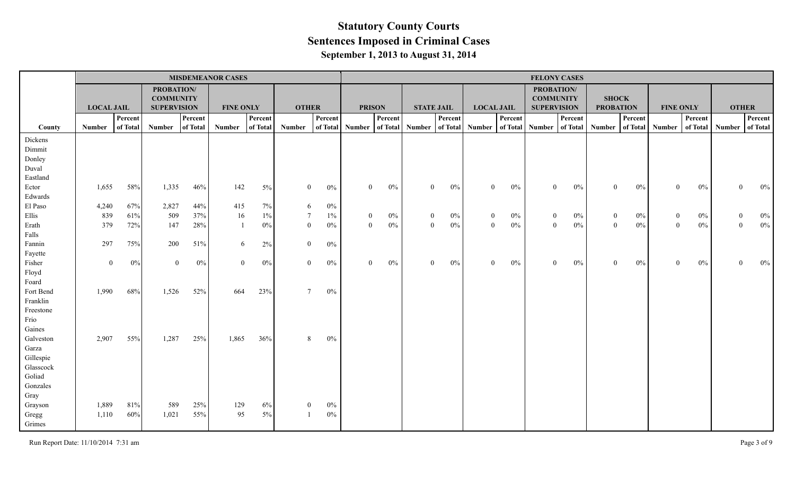|           |                   |          |                                                             |          | <b>MISDEMEANOR CASES</b> |          |               |         |                   |               |                              |         |                   |         |                                                             | <b>FELONY CASES</b> |                                  |         |                   |         |                   |          |
|-----------|-------------------|----------|-------------------------------------------------------------|----------|--------------------------|----------|---------------|---------|-------------------|---------------|------------------------------|---------|-------------------|---------|-------------------------------------------------------------|---------------------|----------------------------------|---------|-------------------|---------|-------------------|----------|
|           | <b>LOCAL JAIL</b> |          | <b>PROBATION/</b><br><b>COMMUNITY</b><br><b>SUPERVISION</b> |          | <b>FINE ONLY</b>         |          | <b>OTHER</b>  |         |                   | <b>PRISON</b> | <b>STATE JAIL</b>            |         | <b>LOCAL JAIL</b> |         | <b>PROBATION/</b><br><b>COMMUNITY</b><br><b>SUPERVISION</b> |                     | <b>SHOCK</b><br><b>PROBATION</b> |         | <b>FINE ONLY</b>  |         | <b>OTHER</b>      |          |
|           |                   | Percent  |                                                             | Percent  |                          | Percent  |               | Percent |                   | Percent       |                              | Percent |                   | Percent |                                                             | Percent             |                                  | Percent |                   | Percent |                   | Percent  |
| County    | <b>Number</b>     | of Total | <b>Number</b>                                               | of Total | <b>Number</b>            | of Total | <b>Number</b> |         | of Total   Number |               | of Total   Number   of Total |         | Number            |         | of Total   Number   of Total                                |                     | Number                           |         | of Total   Number |         | of Total   Number | of Total |
| Dickens   |                   |          |                                                             |          |                          |          |               |         |                   |               |                              |         |                   |         |                                                             |                     |                                  |         |                   |         |                   |          |
| Dimmit    |                   |          |                                                             |          |                          |          |               |         |                   |               |                              |         |                   |         |                                                             |                     |                                  |         |                   |         |                   |          |
| Donley    |                   |          |                                                             |          |                          |          |               |         |                   |               |                              |         |                   |         |                                                             |                     |                                  |         |                   |         |                   |          |
| Duval     |                   |          |                                                             |          |                          |          |               |         |                   |               |                              |         |                   |         |                                                             |                     |                                  |         |                   |         |                   |          |
| Eastland  |                   |          |                                                             |          |                          |          |               |         |                   |               |                              |         |                   |         |                                                             |                     |                                  |         |                   |         |                   |          |
| Ector     | 1,655             | 58%      | 1,335                                                       | 46%      | 142                      | 5%       | $\theta$      | $0\%$   | $\Omega$          | $0\%$         | $\Omega$                     | $0\%$   | $\overline{0}$    | $0\%$   | $\overline{0}$                                              | $0\%$               | $\overline{0}$                   | $0\%$   | $\overline{0}$    | $0\%$   |                   | $0\%$    |
| Edwards   |                   |          |                                                             |          |                          |          |               |         |                   |               |                              |         |                   |         |                                                             |                     |                                  |         |                   |         |                   |          |
| El Paso   | 4,240             | 67%      | 2,827                                                       | 44%      | 415                      | 7%       | 6             | $0\%$   |                   |               |                              |         |                   |         |                                                             |                     |                                  |         |                   |         |                   |          |
| Ellis     | 839               | 61%      | 509                                                         | 37%      | 16                       | $1\%$    |               | $1\%$   | $\overline{0}$    | $0\%$         | $\overline{0}$               | $0\%$   | $\overline{0}$    | $0\%$   | $\overline{0}$                                              | $0\%$               | $\theta$                         | $0\%$   | $\mathbf{0}$      | $0\%$   |                   | $0\%$    |
| Erath     | 379               | 72%      | 147                                                         | 28%      | $\overline{1}$           | 0%       | $\mathbf{0}$  | $0\%$   | $\Omega$          | $0\%$         | $\theta$                     | $0\%$   | $\theta$          | $0\%$   | $\overline{0}$                                              | $0\%$               | $\overline{0}$                   | $0\%$   | $\mathbf{0}$      | $0\%$   | $\Omega$          | $0\%$    |
| Falls     |                   |          |                                                             |          |                          |          |               |         |                   |               |                              |         |                   |         |                                                             |                     |                                  |         |                   |         |                   |          |
| Fannin    | 297               | 75%      | 200                                                         | 51%      | 6                        | 2%       | $\mathbf{0}$  | $0\%$   |                   |               |                              |         |                   |         |                                                             |                     |                                  |         |                   |         |                   |          |
| Fayette   |                   |          |                                                             |          |                          |          |               |         |                   |               |                              |         |                   |         |                                                             |                     |                                  |         |                   |         |                   |          |
| Fisher    | $\overline{0}$    | $0\%$    | $\bf{0}$                                                    | $0\%$    | $\overline{0}$           | $0\%$    | $\theta$      | $0\%$   | $\Omega$          | 0%            | $\overline{0}$               | 0%      | $\overline{0}$    | $0\%$   | $\mathbf{0}$                                                | $0\%$               | $\overline{0}$                   | $0\%$   | $\mathbf{0}$      | $0\%$   |                   | $0\%$    |
| Floyd     |                   |          |                                                             |          |                          |          |               |         |                   |               |                              |         |                   |         |                                                             |                     |                                  |         |                   |         |                   |          |
| Foard     |                   |          |                                                             |          |                          |          |               |         |                   |               |                              |         |                   |         |                                                             |                     |                                  |         |                   |         |                   |          |
| Fort Bend | 1,990             | 68%      | 1,526                                                       | 52%      | 664                      | 23%      | 7             | $0\%$   |                   |               |                              |         |                   |         |                                                             |                     |                                  |         |                   |         |                   |          |
| Franklin  |                   |          |                                                             |          |                          |          |               |         |                   |               |                              |         |                   |         |                                                             |                     |                                  |         |                   |         |                   |          |
| Freestone |                   |          |                                                             |          |                          |          |               |         |                   |               |                              |         |                   |         |                                                             |                     |                                  |         |                   |         |                   |          |
| Frio      |                   |          |                                                             |          |                          |          |               |         |                   |               |                              |         |                   |         |                                                             |                     |                                  |         |                   |         |                   |          |
| Gaines    |                   |          |                                                             |          |                          |          |               |         |                   |               |                              |         |                   |         |                                                             |                     |                                  |         |                   |         |                   |          |
| Galveston | 2,907             | 55%      | 1,287                                                       | 25%      | 1,865                    | 36%      | 8             | $0\%$   |                   |               |                              |         |                   |         |                                                             |                     |                                  |         |                   |         |                   |          |
| Garza     |                   |          |                                                             |          |                          |          |               |         |                   |               |                              |         |                   |         |                                                             |                     |                                  |         |                   |         |                   |          |
| Gillespie |                   |          |                                                             |          |                          |          |               |         |                   |               |                              |         |                   |         |                                                             |                     |                                  |         |                   |         |                   |          |
| Glasscock |                   |          |                                                             |          |                          |          |               |         |                   |               |                              |         |                   |         |                                                             |                     |                                  |         |                   |         |                   |          |
| Goliad    |                   |          |                                                             |          |                          |          |               |         |                   |               |                              |         |                   |         |                                                             |                     |                                  |         |                   |         |                   |          |
| Gonzales  |                   |          |                                                             |          |                          |          |               |         |                   |               |                              |         |                   |         |                                                             |                     |                                  |         |                   |         |                   |          |
| Gray      |                   |          |                                                             |          |                          |          |               |         |                   |               |                              |         |                   |         |                                                             |                     |                                  |         |                   |         |                   |          |
| Grayson   | 1,889             | 81%      | 589                                                         | 25%      | 129                      | 6%       | $\theta$      | $0\%$   |                   |               |                              |         |                   |         |                                                             |                     |                                  |         |                   |         |                   |          |
| Gregg     | 1,110             | 60%      | 1,021                                                       | 55%      | 95                       | 5%       |               | $0\%$   |                   |               |                              |         |                   |         |                                                             |                     |                                  |         |                   |         |                   |          |
| Grimes    |                   |          |                                                             |          |                          |          |               |         |                   |               |                              |         |                   |         |                                                             |                     |                                  |         |                   |         |                   |          |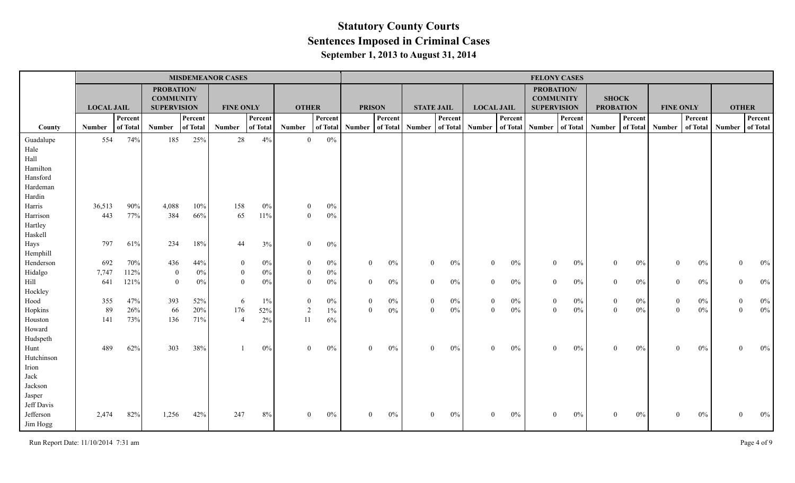|            |                   |          |                                                             |          | <b>MISDEMEANOR CASES</b> |          |                  |          |                |          |                   |          |                   |          |                    | <b>FELONY CASES</b>                   |                                  |          |                  |          |                   |         |
|------------|-------------------|----------|-------------------------------------------------------------|----------|--------------------------|----------|------------------|----------|----------------|----------|-------------------|----------|-------------------|----------|--------------------|---------------------------------------|----------------------------------|----------|------------------|----------|-------------------|---------|
|            | <b>LOCAL JAIL</b> |          | <b>PROBATION/</b><br><b>COMMUNITY</b><br><b>SUPERVISION</b> |          | <b>FINE ONLY</b>         |          | <b>OTHER</b>     |          | <b>PRISON</b>  |          | <b>STATE JAIL</b> |          | <b>LOCAL JAIL</b> |          | <b>SUPERVISION</b> | <b>PROBATION/</b><br><b>COMMUNITY</b> | <b>SHOCK</b><br><b>PROBATION</b> |          | <b>FINE ONLY</b> |          | <b>OTHER</b>      |         |
|            |                   | Percent  |                                                             | Percent  |                          | Percent  |                  | Percent  |                | Percent  |                   | Percent  |                   | Percent  |                    | Percent                               |                                  | Percent  |                  | Percent  |                   | Percent |
| County     | <b>Number</b>     | of Total | Number                                                      | of Total | <b>Number</b>            | of Total | Number           | of Total | <b>Number</b>  | of Total | <b>Number</b>     | of Total | <b>Number</b>     | of Total |                    | Number   of Total                     | Number                           | of Total | <b>Number</b>    | of Total | Number   of Total |         |
| Guadalupe  | 554               | 74%      | 185                                                         | 25%      | 28                       | 4%       | $\theta$         | $0\%$    |                |          |                   |          |                   |          |                    |                                       |                                  |          |                  |          |                   |         |
| Hale       |                   |          |                                                             |          |                          |          |                  |          |                |          |                   |          |                   |          |                    |                                       |                                  |          |                  |          |                   |         |
| Hall       |                   |          |                                                             |          |                          |          |                  |          |                |          |                   |          |                   |          |                    |                                       |                                  |          |                  |          |                   |         |
| Hamilton   |                   |          |                                                             |          |                          |          |                  |          |                |          |                   |          |                   |          |                    |                                       |                                  |          |                  |          |                   |         |
| Hansford   |                   |          |                                                             |          |                          |          |                  |          |                |          |                   |          |                   |          |                    |                                       |                                  |          |                  |          |                   |         |
| Hardeman   |                   |          |                                                             |          |                          |          |                  |          |                |          |                   |          |                   |          |                    |                                       |                                  |          |                  |          |                   |         |
| Hardin     |                   |          |                                                             |          |                          |          |                  |          |                |          |                   |          |                   |          |                    |                                       |                                  |          |                  |          |                   |         |
| Harris     | 36,513            | 90%      | 4,088                                                       | 10%      | 158                      | $0\%$    | $\theta$         | $0\%$    |                |          |                   |          |                   |          |                    |                                       |                                  |          |                  |          |                   |         |
| Harrison   | 443               | 77%      | 384                                                         | 66%      | 65                       | 11%      | $\Omega$         | $0\%$    |                |          |                   |          |                   |          |                    |                                       |                                  |          |                  |          |                   |         |
| Hartley    |                   |          |                                                             |          |                          |          |                  |          |                |          |                   |          |                   |          |                    |                                       |                                  |          |                  |          |                   |         |
| Haskell    |                   |          |                                                             |          |                          |          |                  |          |                |          |                   |          |                   |          |                    |                                       |                                  |          |                  |          |                   |         |
| Hays       | 797               | 61%      | 234                                                         | 18%      | 44                       | 3%       | $\overline{0}$   | $0\%$    |                |          |                   |          |                   |          |                    |                                       |                                  |          |                  |          |                   |         |
| Hemphill   |                   |          |                                                             |          |                          |          |                  |          |                |          |                   |          |                   |          |                    |                                       |                                  |          |                  |          |                   |         |
| Henderson  | 692               | 70%      | 436                                                         | 44%      | 0                        | $0\%$    | $\Omega$         | $0\%$    | $\mathbf{0}$   | $0\%$    | $\overline{0}$    | $0\%$    | $\overline{0}$    | $0\%$    |                    | $0\%$<br>$\overline{0}$               | $\overline{0}$                   | $0\%$    | $\mathbf{0}$     | $0\%$    | $\Omega$          | $0\%$   |
| Hidalgo    | 7,747             | 112%     | $\overline{0}$                                              | $0\%$    | $\left($                 | 0%       | $\overline{0}$   | $0\%$    |                |          |                   |          |                   |          |                    |                                       |                                  |          |                  |          |                   |         |
| Hill       | 641               | 121%     | $\overline{0}$                                              | $0\%$    | $\overline{0}$           | 0%       | $\overline{0}$   | $0\%$    | $\overline{0}$ | $0\%$    | $\overline{0}$    | $0\%$    | $\overline{0}$    | $0\%$    |                    | $0\%$<br>$\mathbf{0}$                 | $\mathbf{0}$                     | $0\%$    | $\overline{0}$   | $0\%$    | $\theta$          | $0\%$   |
| Hockley    |                   |          |                                                             |          |                          |          |                  |          |                |          |                   |          |                   |          |                    |                                       |                                  |          |                  |          |                   |         |
| Hood       | 355               | 47%      | 393                                                         | 52%      | 6                        | $1\%$    | $\boldsymbol{0}$ | $0\%$    | $\mathbf{0}$   | $0\%$    | $\overline{0}$    | $0\%$    | $\overline{0}$    | $0\%$    |                    | $0\%$<br>$\overline{0}$               | $\overline{0}$                   | $0\%$    | $\overline{0}$   | $0\%$    | $\Omega$          | $0\%$   |
| Hopkins    | 89                | 26%      | 66                                                          | 20%      | 176                      | 52%      | 2                | $1\%$    | $\theta$       | $0\%$    | $\overline{0}$    | $0\%$    | $\overline{0}$    | $0\%$    |                    | $0\%$<br>$\overline{0}$               | $\mathbf{0}$                     | 0%       | $\mathbf{0}$     | $0\%$    | $\overline{0}$    | $0\%$   |
| Houston    | 141               | 73%      | 136                                                         | 71%      | $\overline{4}$           | 2%       | 11               | 6%       |                |          |                   |          |                   |          |                    |                                       |                                  |          |                  |          |                   |         |
| Howard     |                   |          |                                                             |          |                          |          |                  |          |                |          |                   |          |                   |          |                    |                                       |                                  |          |                  |          |                   |         |
| Hudspeth   |                   |          |                                                             |          |                          |          |                  |          |                |          |                   |          |                   |          |                    |                                       |                                  |          |                  |          |                   |         |
| Hunt       | 489               | 62%      | 303                                                         | 38%      |                          | $0\%$    | $\theta$         | $0\%$    | $\theta$       | $0\%$    | $\theta$          | $0\%$    | $\theta$          | $0\%$    |                    | $0\%$<br>$\overline{0}$               | $\theta$                         | $0\%$    | $\overline{0}$   | $0\%$    | $\Omega$          | $0\%$   |
| Hutchinson |                   |          |                                                             |          |                          |          |                  |          |                |          |                   |          |                   |          |                    |                                       |                                  |          |                  |          |                   |         |
| Irion      |                   |          |                                                             |          |                          |          |                  |          |                |          |                   |          |                   |          |                    |                                       |                                  |          |                  |          |                   |         |
| Jack       |                   |          |                                                             |          |                          |          |                  |          |                |          |                   |          |                   |          |                    |                                       |                                  |          |                  |          |                   |         |
| Jackson    |                   |          |                                                             |          |                          |          |                  |          |                |          |                   |          |                   |          |                    |                                       |                                  |          |                  |          |                   |         |
| Jasper     |                   |          |                                                             |          |                          |          |                  |          |                |          |                   |          |                   |          |                    |                                       |                                  |          |                  |          |                   |         |
| Jeff Davis |                   |          |                                                             |          |                          |          |                  |          |                |          |                   |          |                   |          |                    |                                       |                                  |          |                  |          |                   |         |
| Jefferson  | 2,474             | 82%      | 1,256                                                       | 42%      | 247                      | 8%       |                  | $0\%$    |                | $0\%$    | 0                 | $0\%$    | $\Omega$          | $0\%$    |                    | $0\%$                                 |                                  | 0%       |                  | $0\%$    |                   | $0\%$   |
| Jim Hogg   |                   |          |                                                             |          |                          |          |                  |          |                |          |                   |          |                   |          |                    |                                       |                                  |          |                  |          |                   |         |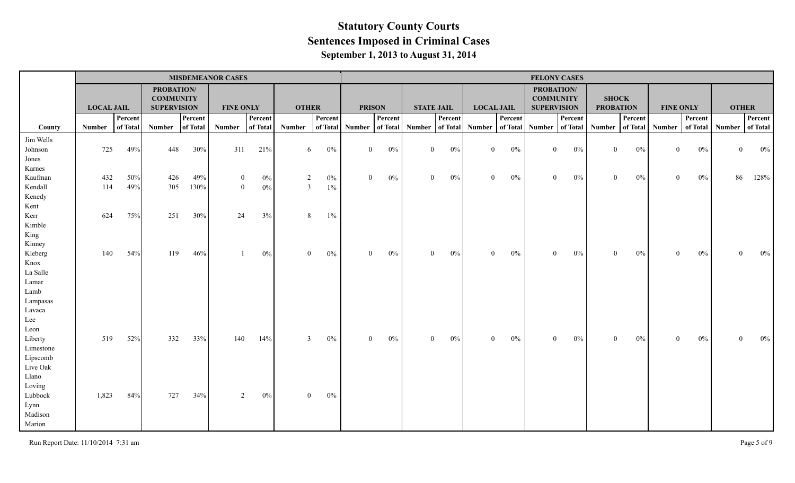|                  |                   |                     |                                                             |         | <b>MISDEMEANOR CASES</b> |                     |               |         |                          |               |                   |                     |                                       |         |                                                             | <b>FELONY CASES</b> |                                  |         |                   |         |                   |                     |
|------------------|-------------------|---------------------|-------------------------------------------------------------|---------|--------------------------|---------------------|---------------|---------|--------------------------|---------------|-------------------|---------------------|---------------------------------------|---------|-------------------------------------------------------------|---------------------|----------------------------------|---------|-------------------|---------|-------------------|---------------------|
|                  | <b>LOCAL JAIL</b> |                     | <b>PROBATION/</b><br><b>COMMUNITY</b><br><b>SUPERVISION</b> |         | <b>FINE ONLY</b>         |                     | <b>OTHER</b>  |         |                          | <b>PRISON</b> | <b>STATE JAIL</b> |                     | <b>LOCAL JAIL</b>                     |         | <b>PROBATION/</b><br><b>COMMUNITY</b><br><b>SUPERVISION</b> |                     | <b>SHOCK</b><br><b>PROBATION</b> |         | <b>FINE ONLY</b>  |         | <b>OTHER</b>      |                     |
| County           | <b>Number</b>     | Percent<br>of Total | Number   of Total                                           | Percent | <b>Number</b>            | Percent<br>of Total | <b>Number</b> | Percent | of Total Number of Total | Percent       | Number            | Percent<br>of Total | Number   of Total   Number   of Total | Percent |                                                             | Percent             | Number                           | Percent | of Total   Number | Percent | of Total   Number | Percent<br>of Total |
| Jim Wells        |                   |                     |                                                             |         |                          |                     |               |         |                          |               |                   |                     |                                       |         |                                                             |                     |                                  |         |                   |         |                   |                     |
| Johnson          | 725               | 49%                 | 448                                                         | 30%     | 311                      | 21%                 | 6             | $0\%$   | $\overline{0}$           | $0\%$         | $\theta$          | $0\%$               | $\theta$                              | $0\%$   | $\theta$                                                    | $0\%$               | $\theta$                         | $0\%$   | $\overline{0}$    | $0\%$   |                   | $0\%$               |
| Jones            |                   |                     |                                                             |         |                          |                     |               |         |                          |               |                   |                     |                                       |         |                                                             |                     |                                  |         |                   |         |                   |                     |
| Karnes           |                   |                     |                                                             |         |                          |                     |               |         |                          |               |                   |                     |                                       |         |                                                             |                     |                                  |         |                   |         |                   |                     |
| Kaufman          | 432               | 50%                 | 426                                                         | 49%     | $\Omega$                 | $0\%$               | 2             | $0\%$   | $\overline{0}$           | $0\%$         | $\overline{0}$    | $0\%$               | $\mathbf{0}$                          | $0\%$   | $\overline{0}$                                              | $0\%$               | $\overline{0}$                   | $0\%$   | $\overline{0}$    | $0\%$   | 86                | 128%                |
| Kendall          | 114               | 49%                 | 305                                                         | 130%    | $\overline{0}$           | $0\%$               | $\mathbf{3}$  | $1\%$   |                          |               |                   |                     |                                       |         |                                                             |                     |                                  |         |                   |         |                   |                     |
| Kenedy           |                   |                     |                                                             |         |                          |                     |               |         |                          |               |                   |                     |                                       |         |                                                             |                     |                                  |         |                   |         |                   |                     |
| Kent             |                   |                     |                                                             |         |                          |                     |               |         |                          |               |                   |                     |                                       |         |                                                             |                     |                                  |         |                   |         |                   |                     |
| Kerr             | 624               | 75%                 | 251                                                         | 30%     | 24                       | 3%                  | 8             | $1\%$   |                          |               |                   |                     |                                       |         |                                                             |                     |                                  |         |                   |         |                   |                     |
| Kimble           |                   |                     |                                                             |         |                          |                     |               |         |                          |               |                   |                     |                                       |         |                                                             |                     |                                  |         |                   |         |                   |                     |
| King             |                   |                     |                                                             |         |                          |                     |               |         |                          |               |                   |                     |                                       |         |                                                             |                     |                                  |         |                   |         |                   |                     |
| Kinney           |                   |                     |                                                             |         |                          |                     |               |         |                          |               |                   |                     |                                       |         |                                                             |                     |                                  |         |                   |         |                   |                     |
| Kleberg          | 140               | 54%                 | 119                                                         | 46%     |                          | $0\%$               | $\Omega$      | $0\%$   | $\overline{0}$           | $0\%$         | $\theta$          | $0\%$               | $\theta$                              | $0\%$   | $\overline{0}$                                              | $0\%$               | $\mathbf{0}$                     | $0\%$   | $\overline{0}$    | $0\%$   |                   | $0\%$               |
| Knox<br>La Salle |                   |                     |                                                             |         |                          |                     |               |         |                          |               |                   |                     |                                       |         |                                                             |                     |                                  |         |                   |         |                   |                     |
| Lamar            |                   |                     |                                                             |         |                          |                     |               |         |                          |               |                   |                     |                                       |         |                                                             |                     |                                  |         |                   |         |                   |                     |
| Lamb             |                   |                     |                                                             |         |                          |                     |               |         |                          |               |                   |                     |                                       |         |                                                             |                     |                                  |         |                   |         |                   |                     |
| Lampasas         |                   |                     |                                                             |         |                          |                     |               |         |                          |               |                   |                     |                                       |         |                                                             |                     |                                  |         |                   |         |                   |                     |
| Lavaca           |                   |                     |                                                             |         |                          |                     |               |         |                          |               |                   |                     |                                       |         |                                                             |                     |                                  |         |                   |         |                   |                     |
| Lee              |                   |                     |                                                             |         |                          |                     |               |         |                          |               |                   |                     |                                       |         |                                                             |                     |                                  |         |                   |         |                   |                     |
| Leon             |                   |                     |                                                             |         |                          |                     |               |         |                          |               |                   |                     |                                       |         |                                                             |                     |                                  |         |                   |         |                   |                     |
| Liberty          | 519               | 52%                 | 332                                                         | 33%     | 140                      | 14%                 | 3             | $0\%$   | $\overline{0}$           | $0\%$         | $\theta$          | $0\%$               | $\theta$                              | $0\%$   | $\theta$                                                    | $0\%$               | $\Omega$                         | $0\%$   | $\overline{0}$    | $0\%$   |                   | $0\%$               |
| Limestone        |                   |                     |                                                             |         |                          |                     |               |         |                          |               |                   |                     |                                       |         |                                                             |                     |                                  |         |                   |         |                   |                     |
| Lipscomb         |                   |                     |                                                             |         |                          |                     |               |         |                          |               |                   |                     |                                       |         |                                                             |                     |                                  |         |                   |         |                   |                     |
| Live Oak         |                   |                     |                                                             |         |                          |                     |               |         |                          |               |                   |                     |                                       |         |                                                             |                     |                                  |         |                   |         |                   |                     |
| Llano            |                   |                     |                                                             |         |                          |                     |               |         |                          |               |                   |                     |                                       |         |                                                             |                     |                                  |         |                   |         |                   |                     |
| Loving           |                   |                     |                                                             |         |                          |                     |               |         |                          |               |                   |                     |                                       |         |                                                             |                     |                                  |         |                   |         |                   |                     |
| Lubbock          | 1,823             | 84%                 | 727                                                         | 34%     | 2                        | $0\%$               | $\theta$      | $0\%$   |                          |               |                   |                     |                                       |         |                                                             |                     |                                  |         |                   |         |                   |                     |
| Lynn             |                   |                     |                                                             |         |                          |                     |               |         |                          |               |                   |                     |                                       |         |                                                             |                     |                                  |         |                   |         |                   |                     |
| Madison          |                   |                     |                                                             |         |                          |                     |               |         |                          |               |                   |                     |                                       |         |                                                             |                     |                                  |         |                   |         |                   |                     |
| Marion           |                   |                     |                                                             |         |                          |                     |               |         |                          |               |                   |                     |                                       |         |                                                             |                     |                                  |         |                   |         |                   |                     |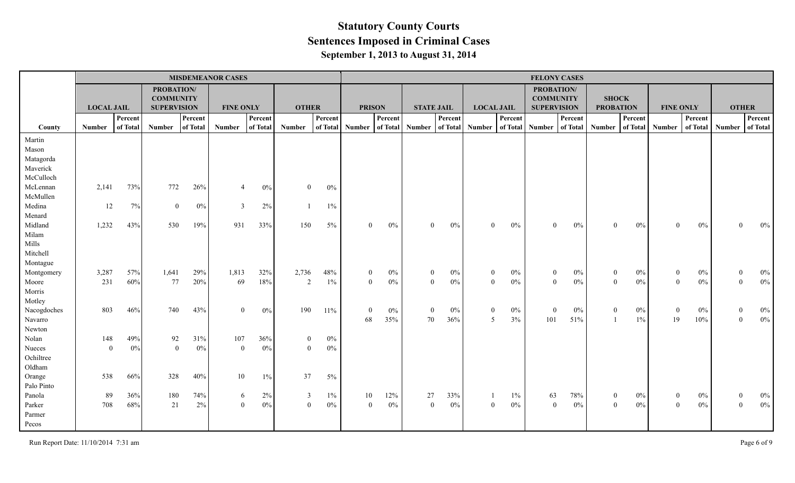|             |                   |          |                                                             |          | <b>MISDEMEANOR CASES</b> |          |               |         |                 |         |                          |         |                   |         |                                                             | <b>FELONY CASES</b> |                                  |         |                   |         |                   |          |
|-------------|-------------------|----------|-------------------------------------------------------------|----------|--------------------------|----------|---------------|---------|-----------------|---------|--------------------------|---------|-------------------|---------|-------------------------------------------------------------|---------------------|----------------------------------|---------|-------------------|---------|-------------------|----------|
|             | <b>LOCAL JAIL</b> |          | <b>PROBATION/</b><br><b>COMMUNITY</b><br><b>SUPERVISION</b> |          | <b>FINE ONLY</b>         |          | <b>OTHER</b>  |         | <b>PRISON</b>   |         | <b>STATE JAIL</b>        |         | <b>LOCAL JAIL</b> |         | <b>PROBATION/</b><br><b>COMMUNITY</b><br><b>SUPERVISION</b> |                     | <b>SHOCK</b><br><b>PROBATION</b> |         | <b>FINE ONLY</b>  |         | <b>OTHER</b>      |          |
|             |                   | Percent  |                                                             | Percent  |                          | Percent  |               | Percent |                 | Percent |                          | Percent |                   | Percent |                                                             | Percent             |                                  | Percent |                   | Percent |                   | Percent  |
| County      | <b>Number</b>     | of Total | <b>Number</b>                                               | of Total | <b>Number</b>            | of Total | <b>Number</b> |         | of Total Number |         | of Total Number of Total |         | <b>Number</b>     |         | of Total   Number   of Total                                |                     | Number                           |         | of Total   Number |         | of Total   Number | of Total |
| Martin      |                   |          |                                                             |          |                          |          |               |         |                 |         |                          |         |                   |         |                                                             |                     |                                  |         |                   |         |                   |          |
| Mason       |                   |          |                                                             |          |                          |          |               |         |                 |         |                          |         |                   |         |                                                             |                     |                                  |         |                   |         |                   |          |
| Matagorda   |                   |          |                                                             |          |                          |          |               |         |                 |         |                          |         |                   |         |                                                             |                     |                                  |         |                   |         |                   |          |
| Maverick    |                   |          |                                                             |          |                          |          |               |         |                 |         |                          |         |                   |         |                                                             |                     |                                  |         |                   |         |                   |          |
| McCulloch   |                   |          |                                                             |          |                          |          |               |         |                 |         |                          |         |                   |         |                                                             |                     |                                  |         |                   |         |                   |          |
| McLennan    | 2,141             | 73%      | 772                                                         | 26%      |                          | $0\%$    | $\theta$      | $0\%$   |                 |         |                          |         |                   |         |                                                             |                     |                                  |         |                   |         |                   |          |
| McMullen    |                   |          |                                                             |          |                          |          |               |         |                 |         |                          |         |                   |         |                                                             |                     |                                  |         |                   |         |                   |          |
| Medina      | 12                | 7%       | $\bf{0}$                                                    | $0\%$    | 3                        | 2%       |               | $1\%$   |                 |         |                          |         |                   |         |                                                             |                     |                                  |         |                   |         |                   |          |
| Menard      |                   |          |                                                             |          |                          |          |               |         |                 |         |                          |         |                   |         |                                                             |                     |                                  |         |                   |         |                   |          |
| Midland     | 1,232             | 43%      | 530                                                         | 19%      | 931                      | 33%      | 150           | $5\%$   | $\Omega$        | 0%      | $\overline{0}$           | 0%      | $\overline{0}$    | $0\%$   | $\mathbf{0}$                                                | $0\%$               | $\theta$                         | $0\%$   | $\mathbf{0}$      | $0\%$   |                   | $0\%$    |
| Milam       |                   |          |                                                             |          |                          |          |               |         |                 |         |                          |         |                   |         |                                                             |                     |                                  |         |                   |         |                   |          |
| Mills       |                   |          |                                                             |          |                          |          |               |         |                 |         |                          |         |                   |         |                                                             |                     |                                  |         |                   |         |                   |          |
| Mitchell    |                   |          |                                                             |          |                          |          |               |         |                 |         |                          |         |                   |         |                                                             |                     |                                  |         |                   |         |                   |          |
| Montague    |                   |          |                                                             |          |                          |          |               |         |                 |         |                          |         |                   |         |                                                             |                     |                                  |         |                   |         |                   |          |
| Montgomery  | 3,287             | 57%      | 1,641                                                       | 29%      | 1,813                    | 32%      | 2,736         | 48%     | $\Omega$        | $0\%$   | $\theta$                 | $0\%$   | $\theta$          | $0\%$   | $\Omega$                                                    | $0\%$               | $\Omega$                         | $0\%$   | $\theta$          | $0\%$   |                   | $0\%$    |
| Moore       | 231               | 60%      | 77                                                          | 20%      | 69                       | 18%      | 2             | $1\%$   | $\theta$        | $0\%$   | $\theta$                 | $0\%$   | $\theta$          | $0\%$   | $\overline{0}$                                              | $0\%$               | $\overline{0}$                   | $0\%$   | $\mathbf{0}$      | $0\%$   | $\Omega$          | $0\%$    |
| Morris      |                   |          |                                                             |          |                          |          |               |         |                 |         |                          |         |                   |         |                                                             |                     |                                  |         |                   |         |                   |          |
| Motley      |                   |          |                                                             |          |                          |          |               |         |                 |         |                          |         |                   |         |                                                             |                     |                                  |         |                   |         |                   |          |
| Nacogdoches | 803               | 46%      | 740                                                         | 43%      | $\Omega$                 | $0\%$    | 190           | 11%     | $\theta$        | $0\%$   | $\overline{0}$           | $0\%$   | $\mathbf{0}$      | $0\%$   | $\overline{0}$                                              | $0\%$               | $\mathbf{0}$                     | $0\%$   | $\theta$          | $0\%$   |                   | $0\%$    |
| Navarro     |                   |          |                                                             |          |                          |          |               |         | 68              | 35%     | 70                       | 36%     | 5                 | 3%      | 101                                                         | 51%                 |                                  | $1\%$   | 19                | 10%     | $\Omega$          | $0\%$    |
| Newton      |                   |          |                                                             |          |                          |          |               |         |                 |         |                          |         |                   |         |                                                             |                     |                                  |         |                   |         |                   |          |
| Nolan       | 148               | 49%      | 92                                                          | 31%      | 107                      | 36%      | $\theta$      | $0\%$   |                 |         |                          |         |                   |         |                                                             |                     |                                  |         |                   |         |                   |          |
| Nueces      | $\theta$          | $0\%$    | $\theta$                                                    | $0\%$    | $\theta$                 | $0\%$    | $\theta$      | $0\%$   |                 |         |                          |         |                   |         |                                                             |                     |                                  |         |                   |         |                   |          |
| Ochiltree   |                   |          |                                                             |          |                          |          |               |         |                 |         |                          |         |                   |         |                                                             |                     |                                  |         |                   |         |                   |          |
| Oldham      |                   |          |                                                             |          |                          |          |               |         |                 |         |                          |         |                   |         |                                                             |                     |                                  |         |                   |         |                   |          |
| Orange      | 538               | 66%      | 328                                                         | 40%      | 10                       | 1%       | 37            | $5\%$   |                 |         |                          |         |                   |         |                                                             |                     |                                  |         |                   |         |                   |          |
| Palo Pinto  |                   |          |                                                             |          |                          |          |               |         |                 |         |                          |         |                   |         |                                                             |                     |                                  |         |                   |         |                   |          |
| Panola      | 89                | 36%      | 180                                                         | 74%      | 6                        | 2%       | 3             | $1\%$   | 10              | 12%     | 27                       | 33%     |                   | $1\%$   | 63                                                          | 78%                 | $\bf{0}$                         | $0\%$   | $\mathbf{0}$      | $0\%$   | $\theta$          | $0\%$    |
| Parker      | 708               | 68%      | 21                                                          | 2%       | $\overline{0}$           | 0%       | $\Omega$      | $0\%$   | $\Omega$        | $0\%$   | $\theta$                 | 0%      | $\theta$          | $0\%$   | $\mathbf{0}$                                                | $0\%$               | $\Omega$                         | $0\%$   | $\mathbf{0}$      | $0\%$   | $\Omega$          | $0\%$    |
| Parmer      |                   |          |                                                             |          |                          |          |               |         |                 |         |                          |         |                   |         |                                                             |                     |                                  |         |                   |         |                   |          |
| Pecos       |                   |          |                                                             |          |                          |          |               |         |                 |         |                          |         |                   |         |                                                             |                     |                                  |         |                   |         |                   |          |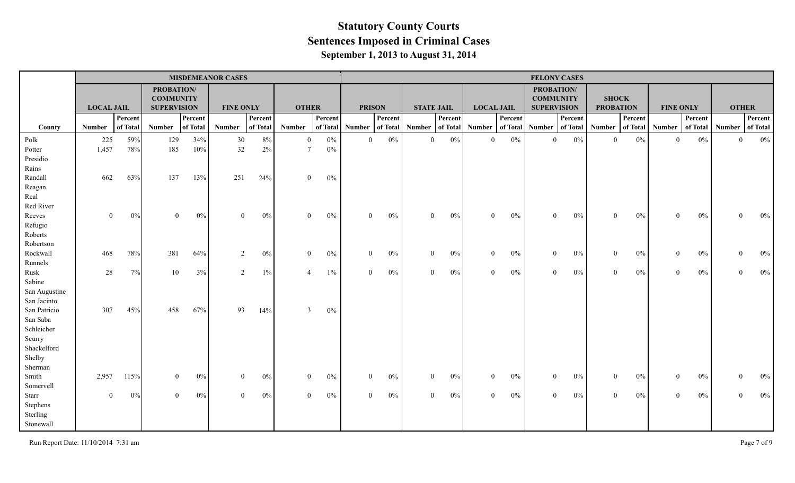|                    |                   |          |                                                             |          | <b>MISDEMEANOR CASES</b> |          |               |         |                 |          |                   |         |                   |         |                                                             | <b>FELONY CASES</b> |                                  |         |                   |         |                   |              |
|--------------------|-------------------|----------|-------------------------------------------------------------|----------|--------------------------|----------|---------------|---------|-----------------|----------|-------------------|---------|-------------------|---------|-------------------------------------------------------------|---------------------|----------------------------------|---------|-------------------|---------|-------------------|--------------|
|                    | <b>LOCAL JAIL</b> |          | <b>PROBATION/</b><br><b>COMMUNITY</b><br><b>SUPERVISION</b> |          | <b>FINE ONLY</b>         |          | <b>OTHER</b>  |         | <b>PRISON</b>   |          | <b>STATE JAIL</b> |         | <b>LOCAL JAIL</b> |         | <b>PROBATION/</b><br><b>COMMUNITY</b><br><b>SUPERVISION</b> |                     | <b>SHOCK</b><br><b>PROBATION</b> |         | <b>FINE ONLY</b>  |         |                   | <b>OTHER</b> |
|                    |                   | Percent  |                                                             | Percent  |                          | Percent  |               | Percent |                 | Percent  |                   | Percent |                   | Percent |                                                             | Percent             |                                  | Percent |                   | Percent |                   | Percent      |
| County             | <b>Number</b>     | of Total | <b>Number</b>                                               | of Total | <b>Number</b>            | of Total | <b>Number</b> |         | of Total Number | of Total | Number   of Total |         | Number            |         | of Total   Number   of Total                                |                     | Number                           |         | of Total   Number |         | of Total   Number | of Total     |
| Polk               | 225               | 59%      | 129                                                         | 34%      | 30                       | 8%       | $\theta$      | $0\%$   | $\theta$        | $0\%$    | $\theta$          | $0\%$   | $\theta$          | $0\%$   | $\overline{0}$                                              | $0\%$               | $\theta$                         | $0\%$   | $\theta$          | $0\%$   | $\theta$          | $0\%$        |
| Potter             | 1,457             | 78%      | 185                                                         | 10%      | 32                       | 2%       | 7             | $0\%$   |                 |          |                   |         |                   |         |                                                             |                     |                                  |         |                   |         |                   |              |
| Presidio           |                   |          |                                                             |          |                          |          |               |         |                 |          |                   |         |                   |         |                                                             |                     |                                  |         |                   |         |                   |              |
| Rains              |                   |          |                                                             |          |                          |          |               |         |                 |          |                   |         |                   |         |                                                             |                     |                                  |         |                   |         |                   |              |
| Randall            | 662               | 63%      | 137                                                         | 13%      | 251                      | 24%      | $\theta$      | $0\%$   |                 |          |                   |         |                   |         |                                                             |                     |                                  |         |                   |         |                   |              |
| Reagan             |                   |          |                                                             |          |                          |          |               |         |                 |          |                   |         |                   |         |                                                             |                     |                                  |         |                   |         |                   |              |
| Real               |                   |          |                                                             |          |                          |          |               |         |                 |          |                   |         |                   |         |                                                             |                     |                                  |         |                   |         |                   |              |
| Red River          |                   |          |                                                             |          |                          |          |               |         |                 |          |                   |         |                   |         |                                                             |                     |                                  |         |                   |         |                   |              |
| Reeves             | $\theta$          | $0\%$    | $\Omega$                                                    | $0\%$    |                          | $0\%$    | $\Omega$      | $0\%$   | $\Omega$        | $0\%$    | $\theta$          | 0%      | $\overline{0}$    | $0\%$   | $\overline{0}$                                              | $0\%$               | $\overline{0}$                   | $0\%$   | $\mathbf{0}$      | $0\%$   |                   | $0\%$        |
| Refugio<br>Roberts |                   |          |                                                             |          |                          |          |               |         |                 |          |                   |         |                   |         |                                                             |                     |                                  |         |                   |         |                   |              |
| Robertson          |                   |          |                                                             |          |                          |          |               |         |                 |          |                   |         |                   |         |                                                             |                     |                                  |         |                   |         |                   |              |
| Rockwall           | 468               | 78%      | 381                                                         | 64%      | $\overline{2}$           | 0%       | $\Omega$      | $0\%$   | $\theta$        | 0%       | $\Omega$          | $0\%$   | $\theta$          | $0\%$   | $\overline{0}$                                              | $0\%$               | $\overline{0}$                   | $0\%$   | $\mathbf{0}$      | $0\%$   |                   | 0%           |
| Runnels            |                   |          |                                                             |          |                          |          |               |         |                 |          |                   |         |                   |         |                                                             |                     |                                  |         |                   |         |                   |              |
| Rusk               | 28                | 7%       | 10                                                          | 3%       | 2                        | $1\%$    |               | $1\%$   | $\overline{0}$  | $0\%$    | $\overline{0}$    | $0\%$   | $\overline{0}$    | $0\%$   | $\mathbf{0}$                                                | $0\%$               | $\boldsymbol{0}$                 | $0\%$   | $\overline{0}$    | $0\%$   |                   | $0\%$        |
| Sabine             |                   |          |                                                             |          |                          |          |               |         |                 |          |                   |         |                   |         |                                                             |                     |                                  |         |                   |         |                   |              |
| San Augustine      |                   |          |                                                             |          |                          |          |               |         |                 |          |                   |         |                   |         |                                                             |                     |                                  |         |                   |         |                   |              |
| San Jacinto        |                   |          |                                                             |          |                          |          |               |         |                 |          |                   |         |                   |         |                                                             |                     |                                  |         |                   |         |                   |              |
| San Patricio       | 307               | 45%      | 458                                                         | 67%      | 93                       | 14%      | 3             | $0\%$   |                 |          |                   |         |                   |         |                                                             |                     |                                  |         |                   |         |                   |              |
| San Saba           |                   |          |                                                             |          |                          |          |               |         |                 |          |                   |         |                   |         |                                                             |                     |                                  |         |                   |         |                   |              |
| Schleicher         |                   |          |                                                             |          |                          |          |               |         |                 |          |                   |         |                   |         |                                                             |                     |                                  |         |                   |         |                   |              |
| Scurry             |                   |          |                                                             |          |                          |          |               |         |                 |          |                   |         |                   |         |                                                             |                     |                                  |         |                   |         |                   |              |
| Shackelford        |                   |          |                                                             |          |                          |          |               |         |                 |          |                   |         |                   |         |                                                             |                     |                                  |         |                   |         |                   |              |
| Shelby             |                   |          |                                                             |          |                          |          |               |         |                 |          |                   |         |                   |         |                                                             |                     |                                  |         |                   |         |                   |              |
| Sherman            |                   |          |                                                             |          |                          |          |               |         |                 |          |                   |         |                   |         |                                                             |                     |                                  |         |                   |         |                   |              |
| Smith              | 2,957             | 115%     |                                                             | 0%       |                          | 0%       | $\Omega$      | $0\%$   |                 | 0%       | $\Omega$          | 0%      | $\Omega$          | $0\%$   | $\Omega$                                                    | $0\%$               | $\Omega$                         | $0\%$   | $\Omega$          | $0\%$   |                   | 0%           |
| Somervell          |                   |          |                                                             |          |                          |          |               |         |                 |          |                   |         |                   |         |                                                             |                     |                                  |         |                   |         |                   |              |
| <b>Starr</b>       | $\overline{0}$    | $0\%$    | $\Omega$                                                    | $0\%$    | $\theta$                 | $0\%$    | $\Omega$      | $0\%$   | $\Omega$        | 0%       | $\Omega$          | $0\%$   | $\theta$          | $0\%$   | $\overline{0}$                                              | $0\%$               | $\Omega$                         | $0\%$   | $\theta$          | $0\%$   |                   | $0\%$        |
| Stephens           |                   |          |                                                             |          |                          |          |               |         |                 |          |                   |         |                   |         |                                                             |                     |                                  |         |                   |         |                   |              |
| Sterling           |                   |          |                                                             |          |                          |          |               |         |                 |          |                   |         |                   |         |                                                             |                     |                                  |         |                   |         |                   |              |
| Stonewall          |                   |          |                                                             |          |                          |          |               |         |                 |          |                   |         |                   |         |                                                             |                     |                                  |         |                   |         |                   |              |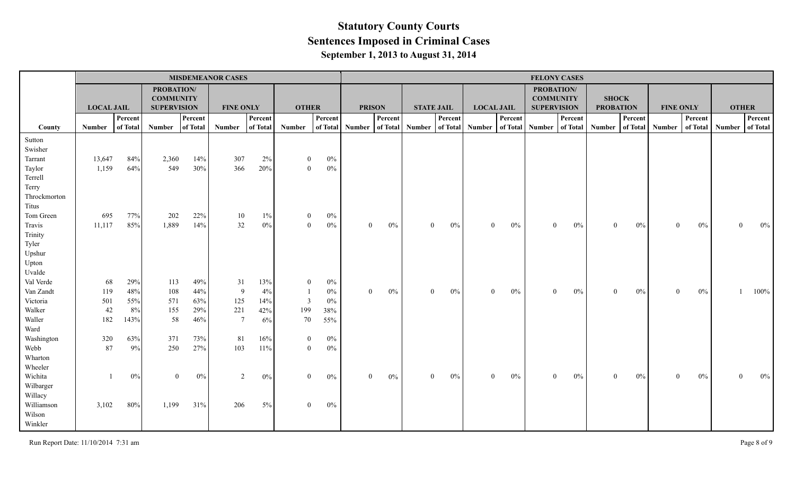|              |                   |          |                                                             |          | <b>MISDEMEANOR CASES</b> |          |                |         |                   |         |                          |         |                   |         |                                                             | <b>FELONY CASES</b> |                                  |         |                   |         |                   |              |
|--------------|-------------------|----------|-------------------------------------------------------------|----------|--------------------------|----------|----------------|---------|-------------------|---------|--------------------------|---------|-------------------|---------|-------------------------------------------------------------|---------------------|----------------------------------|---------|-------------------|---------|-------------------|--------------|
|              | <b>LOCAL JAIL</b> |          | <b>PROBATION/</b><br><b>COMMUNITY</b><br><b>SUPERVISION</b> |          | <b>FINE ONLY</b>         |          | <b>OTHER</b>   |         | <b>PRISON</b>     |         | <b>STATE JAIL</b>        |         | <b>LOCAL JAIL</b> |         | <b>PROBATION/</b><br><b>COMMUNITY</b><br><b>SUPERVISION</b> |                     | <b>SHOCK</b><br><b>PROBATION</b> |         | <b>FINE ONLY</b>  |         |                   | <b>OTHER</b> |
|              |                   | Percent  |                                                             | Percent  |                          | Percent  |                | Percent |                   | Percent |                          | Percent |                   | Percent |                                                             | Percent             |                                  | Percent |                   | Percent |                   | Percent      |
| County       | <b>Number</b>     | of Total | Number                                                      | of Total | <b>Number</b>            | of Total | <b>Number</b>  |         | of Total   Number |         | of Total Number of Total |         | <b>Number</b>     |         | of Total   Number   of Total                                |                     | Number                           |         | of Total   Number |         | of Total   Number | of Total     |
| Sutton       |                   |          |                                                             |          |                          |          |                |         |                   |         |                          |         |                   |         |                                                             |                     |                                  |         |                   |         |                   |              |
| Swisher      |                   |          |                                                             |          |                          |          |                |         |                   |         |                          |         |                   |         |                                                             |                     |                                  |         |                   |         |                   |              |
| Tarrant      | 13,647            | 84%      | 2,360                                                       | 14%      | 307                      | 2%       | $\theta$       | $0\%$   |                   |         |                          |         |                   |         |                                                             |                     |                                  |         |                   |         |                   |              |
| Taylor       | 1,159             | 64%      | 549                                                         | 30%      | 366                      | 20%      | $\theta$       | $0\%$   |                   |         |                          |         |                   |         |                                                             |                     |                                  |         |                   |         |                   |              |
| Terrell      |                   |          |                                                             |          |                          |          |                |         |                   |         |                          |         |                   |         |                                                             |                     |                                  |         |                   |         |                   |              |
| Terry        |                   |          |                                                             |          |                          |          |                |         |                   |         |                          |         |                   |         |                                                             |                     |                                  |         |                   |         |                   |              |
| Throckmorton |                   |          |                                                             |          |                          |          |                |         |                   |         |                          |         |                   |         |                                                             |                     |                                  |         |                   |         |                   |              |
| Titus        |                   |          |                                                             |          |                          |          |                |         |                   |         |                          |         |                   |         |                                                             |                     |                                  |         |                   |         |                   |              |
| Tom Green    | 695               | 77%      | 202                                                         | 22%      | 10                       | 1%       | $\theta$       | $0\%$   |                   |         |                          |         |                   |         |                                                             |                     |                                  |         |                   |         |                   |              |
| Travis       | 11,117            | 85%      | 1,889                                                       | 14%      | 32                       | 0%       | $\overline{0}$ | $0\%$   | $\theta$          | $0\%$   | $\overline{0}$           | 0%      | $\overline{0}$    | $0\%$   | $\mathbf{0}$                                                | $0\%$               | $\overline{0}$                   | $0\%$   | $\overline{0}$    | $0\%$   |                   | $0\%$        |
| Trinity      |                   |          |                                                             |          |                          |          |                |         |                   |         |                          |         |                   |         |                                                             |                     |                                  |         |                   |         |                   |              |
| Tyler        |                   |          |                                                             |          |                          |          |                |         |                   |         |                          |         |                   |         |                                                             |                     |                                  |         |                   |         |                   |              |
| Upshur       |                   |          |                                                             |          |                          |          |                |         |                   |         |                          |         |                   |         |                                                             |                     |                                  |         |                   |         |                   |              |
| Upton        |                   |          |                                                             |          |                          |          |                |         |                   |         |                          |         |                   |         |                                                             |                     |                                  |         |                   |         |                   |              |
| Uvalde       |                   |          |                                                             |          |                          |          |                |         |                   |         |                          |         |                   |         |                                                             |                     |                                  |         |                   |         |                   |              |
| Val Verde    | 68                | 29%      | 113                                                         | 49%      | 31                       | 13%      | $\overline{0}$ | $0\%$   |                   |         |                          |         |                   |         |                                                             |                     |                                  |         |                   |         |                   |              |
| Van Zandt    | 119               | 48%      | 108                                                         | 44%      | 9                        | 4%       |                | $0\%$   | $\theta$          | $0\%$   | $\theta$                 | 0%      | $\theta$          | $0\%$   | $\theta$                                                    | $0\%$               | $\Omega$                         | $0\%$   | $\overline{0}$    | $0\%$   |                   | 100%         |
| Victoria     | 501               | 55%      | 571                                                         | 63%      | 125                      | 14%      | 3              | $0\%$   |                   |         |                          |         |                   |         |                                                             |                     |                                  |         |                   |         |                   |              |
| Walker       | 42                | 8%       | 155                                                         | 29%      | 221                      | 42%      | 199            | 38%     |                   |         |                          |         |                   |         |                                                             |                     |                                  |         |                   |         |                   |              |
| Waller       | 182               | 143%     | 58                                                          | 46%      | $7\phantom{.0}$          | 6%       | 70             | 55%     |                   |         |                          |         |                   |         |                                                             |                     |                                  |         |                   |         |                   |              |
| Ward         |                   |          |                                                             |          |                          |          |                |         |                   |         |                          |         |                   |         |                                                             |                     |                                  |         |                   |         |                   |              |
| Washington   | 320               | 63%      | 371                                                         | 73%      | 81                       | 16%      | $\theta$       | $0\%$   |                   |         |                          |         |                   |         |                                                             |                     |                                  |         |                   |         |                   |              |
| Webb         | 87                | 9%       | 250                                                         | 27%      | 103                      | 11%      | $\theta$       | $0\%$   |                   |         |                          |         |                   |         |                                                             |                     |                                  |         |                   |         |                   |              |
| Wharton      |                   |          |                                                             |          |                          |          |                |         |                   |         |                          |         |                   |         |                                                             |                     |                                  |         |                   |         |                   |              |
| Wheeler      |                   |          |                                                             |          |                          |          |                |         |                   |         |                          |         |                   |         |                                                             |                     |                                  |         |                   |         |                   |              |
| Wichita      |                   | 0%       | $\Omega$                                                    | 0%       | $\mathcal{L}$            | 0%       | $\Omega$       | $0\%$   |                   | 0%      | $\Omega$                 | $0\%$   | 0                 | $0\%$   | $\theta$                                                    | $0\%$               | $\Omega$                         | $0\%$   | $\Omega$          | $0\%$   |                   | 0%           |
| Wilbarger    |                   |          |                                                             |          |                          |          |                |         |                   |         |                          |         |                   |         |                                                             |                     |                                  |         |                   |         |                   |              |
| Willacy      |                   |          |                                                             |          |                          |          |                |         |                   |         |                          |         |                   |         |                                                             |                     |                                  |         |                   |         |                   |              |
| Williamson   | 3,102             | 80%      | 1,199                                                       | 31%      | 206                      | 5%       | $\Omega$       | $0\%$   |                   |         |                          |         |                   |         |                                                             |                     |                                  |         |                   |         |                   |              |
| Wilson       |                   |          |                                                             |          |                          |          |                |         |                   |         |                          |         |                   |         |                                                             |                     |                                  |         |                   |         |                   |              |
| Winkler      |                   |          |                                                             |          |                          |          |                |         |                   |         |                          |         |                   |         |                                                             |                     |                                  |         |                   |         |                   |              |